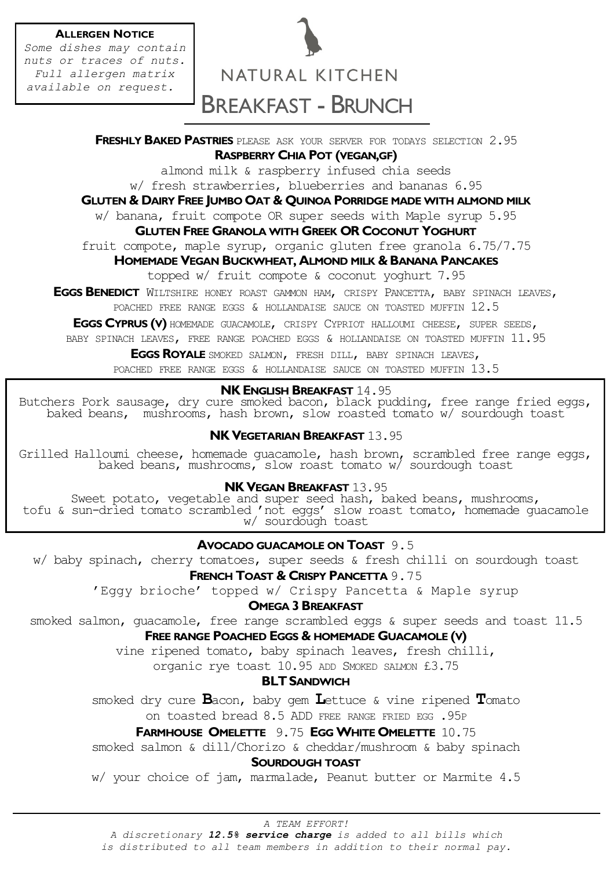#### **ALLERGEN NOTICE**

*Some dishes may contain nuts or traces of nuts. Full allergen matrix available on request.*

# NATURAL KITCHEN BREAKFAST - BRUNCH

**FRESHLY BAKED PASTRIES** PLEASE ASK YOUR SERVER FOR TODAYS SELECTION 2.95 **RASPBERRY CHIA POT (VEGAN,GF)** 

almond milk & raspberry infused chia seeds w/ fresh strawberries, blueberries and bananas 6.95

#### **GLUTEN & DAIRY FREE JUMBO OAT & QUINOA PORRIDGE MADE WITH ALMOND MILK**

w/ banana, fruit compote OR super seeds with Maple syrup 5.95

#### **GLUTEN FREE GRANOLA WITH GREEK OR COCONUT YOGHURT**

fruit compote, maple syrup, organic gluten free granola 6.75/7.75

#### **HOMEMADE VEGAN BUCKWHEAT, ALMOND MILK & BANANA PANCAKES**

topped w/ fruit compote & coconut yoghurt 7.95

**EGGS BENEDICT** WILTSHIRE HONEY ROAST GAMMON HAM, CRISPY PANCETTA, BABY SPINACH LEAVES,

POACHED FREE RANGE EGGS & HOLLANDAISE SAUCE ON TOASTED MUFFIN 12.5

**EGGS CYPRUS (V)** HOMEMADE GUACAMOLE, CRISPY CYPRIOT HALLOUMI CHEESE, SUPER SEEDS,

BABY SPINACH LEAVES, FREE RANGE POACHED EGGS & HOLLANDAISE ON TOASTED MUFFIN 11.95

**EGGS ROYALE** SMOKED SALMON, FRESH DILL, BABY SPINACH LEAVES,

POACHED FREE RANGE EGGS & HOLLANDAISE SAUCE ON TOASTED MUFFIN 13.5

#### **NK ENGLISH BREAKFAST** 14.95

Butchers Pork sausage, dry cure smoked bacon, black pudding, free range fried eggs, baked beans, mushrooms, hash brown, slow roasted tomato w/ sourdough toast

#### **NK VEGETARIAN BREAKFAST** 13.95

Grilled Halloumi cheese, homemade guacamole, hash brown, scrambled free range eggs, baked beans, mushrooms, slow roast tomato w/ sourdough toast

#### **NK VEGAN BREAKFAST** 13.95

Sweet potato, vegetable and super seed hash, baked beans, mushrooms, tofu & sun-dried tomato scrambled 'not eggs' slow roast tomato, homemade guacamole w/ sourdough toast

#### **AVOCADO GUACAMOLE ON TOAST** 9.5

w/ baby spinach, cherry tomatoes, super seeds & fresh chilli on sourdough toast

#### **FRENCH TOAST & CRISPY PANCETTA** 9.75

'Eggy brioche' topped w/ Crispy Pancetta & Maple syrup

#### **OMEGA 3 BREAKFAST**

smoked salmon, guacamole, free range scrambled eggs & super seeds and toast 11.5 **FREE RANGE POACHED EGGS & HOMEMADE GUACAMOLE (V)**

vine ripened tomato, baby spinach leaves, fresh chilli,

organic rye toast 10.95 ADD SMOKED SALMON £3.75

#### **BLT SANDWICH**

smoked dry cure **B**acon, baby gem **L**ettuce & vine ripened **T**omato on toasted bread 8.5 ADD FREE RANGE FRIED EGG .95P

#### **FARMHOUSE OMELETTE** 9.75 **EGGWHITE OMELETTE** 10.75

smoked salmon & dill/Chorizo & cheddar/mushroom & baby spinach

#### **SOURDOUGH TOAST**

w/ your choice of jam, marmalade, Peanut butter or Marmite 4.5

*A TEAM EFFORT!*

*A discretionary 12.5% service charge is added to all bills which* 

*is distributed to all team members in addition to their normal pay.*